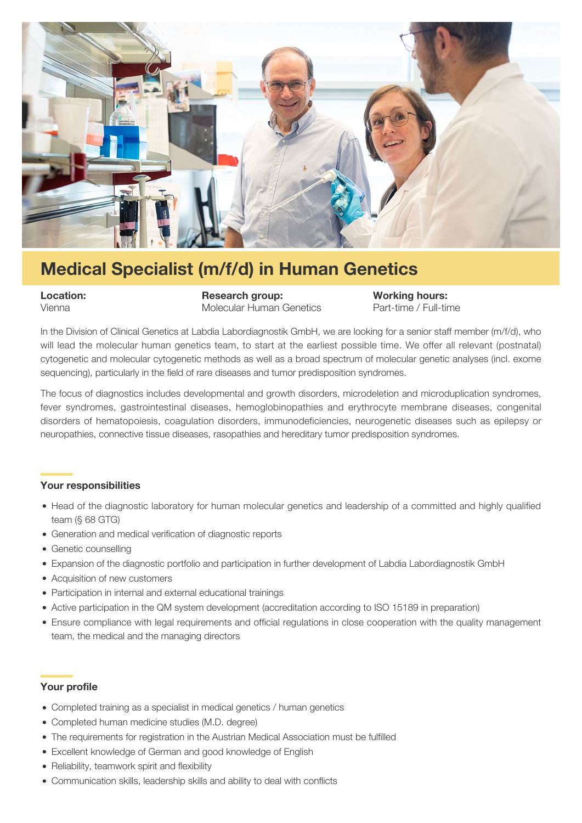

# **Medical Specialist (m/f/d) in Human Genetics**

**Location: Research group: Working hours:** Vienna Molecular Human Genetics Part-time / Full-time

In the Division of Clinical Genetics at Labdia Labordiagnostik GmbH, we are looking for a senior staff member (m/f/d), who will lead the molecular human genetics team, to start at the earliest possible time. We offer all relevant (postnatal) cytogenetic and molecular cytogenetic methods as well as a broad spectrum of molecular genetic analyses (incl. exome sequencing), particularly in the field of rare diseases and tumor predisposition syndromes.

The focus of diagnostics includes developmental and growth disorders, microdeletion and microduplication syndromes, fever syndromes, gastrointestinal diseases, hemoglobinopathies and erythrocyte membrane diseases, congenital disorders of hematopoiesis, coagulation disorders, immunodeficiencies, neurogenetic diseases such as epilepsy or neuropathies, connective tissue diseases, rasopathies and hereditary tumor predisposition syndromes.

## **Your responsibilities**

- Head of the diagnostic laboratory for human molecular genetics and leadership of a committed and highly qualified team (§ 68 GTG)
- Generation and medical verification of diagnostic reports
- Genetic counselling
- Expansion of the diagnostic portfolio and participation in further development of Labdia Labordiagnostik GmbH
- Acquisition of new customers
- Participation in internal and external educational trainings
- Active participation in the QM system development (accreditation according to ISO 15189 in preparation)
- Ensure compliance with legal requirements and official regulations in close cooperation with the quality management team, the medical and the managing directors

## **Your profile**

- Completed training as a specialist in medical genetics / human genetics
- Completed human medicine studies (M.D. degree)
- The requirements for registration in the Austrian Medical Association must be fulfilled
- Excellent knowledge of German and good knowledge of English
- Reliability, teamwork spirit and flexibility
- Communication skills, leadership skills and ability to deal with conflicts